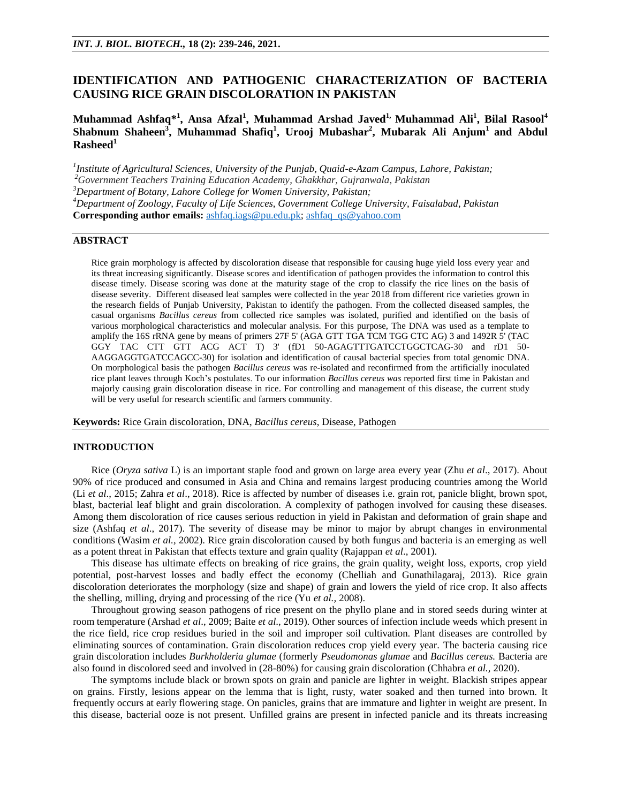# **IDENTIFICATION AND PATHOGENIC CHARACTERIZATION OF BACTERIA CAUSING RICE GRAIN DISCOLORATION IN PAKISTAN**

# **Muhammad Ashfaq\*<sup>1</sup> , Ansa Afzal<sup>1</sup> , Muhammad Arshad Javed1, Muhammad Ali<sup>1</sup> , Bilal Rasool<sup>4</sup> Shabnum Shaheen<sup>3</sup> , Muhammad Shafiq<sup>1</sup> , Urooj Mubashar<sup>2</sup> , Mubarak Ali Anjum<sup>1</sup> and Abdul Rasheed<sup>1</sup>**

*1 Institute of Agricultural Sciences, University of the Punjab, Quaid-e-Azam Campus, Lahore, Pakistan; <sup>2</sup>Government Teachers Training Education Academy, Ghakkhar, Gujranwala, Pakistan*

*<sup>3</sup>Department of Botany, Lahore College for Women University, Pakistan;*

*<sup>4</sup>Department of Zoology, Faculty of Life Sciences, Government College University, Faisalabad, Pakistan* **Corresponding author emails:** [ashfaq.iags@pu.edu.pk;](mailto:ashfaq.iags@pu.edu.pk) [ashfaq\\_qs@yahoo.com](mailto:ashfaq_qs@yahoo.com)

## **ABSTRACT**

Rice grain morphology is affected by discoloration disease that responsible for causing huge yield loss every year and its threat increasing significantly. Disease scores and identification of pathogen provides the information to control this disease timely. Disease scoring was done at the maturity stage of the crop to classify the rice lines on the basis of disease severity. Different diseased leaf samples were collected in the year 2018 from different rice varieties grown in the research fields of Punjab University, Pakistan to identify the pathogen. From the collected diseased samples, the casual organisms *Bacillus cereus* from collected rice samples was isolated, purified and identified on the basis of various morphological characteristics and molecular analysis. For this purpose, The DNA was used as a template to amplify the 16S rRNA gene by means of primers 27F 5' (AGA GTT TGA TCM TGG CTC AG) 3 and 1492R 5' (TAC GGY TAC CTT GTT ACG ACT T) 3' (fD1 50-AGAGTTTGATCCTGGCTCAG-30 and rD1 50- AAGGAGGTGATCCAGCC-30) for isolation and identification of causal bacterial species from total genomic DNA. On morphological basis the pathogen *Bacillus cereus* was re-isolated and reconfirmed from the artificially inoculated rice plant leaves through Koch's postulates. To our information *Bacillus cereus was* reported first time in Pakistan and majorly causing grain discoloration disease in rice. For controlling and management of this disease, the current study will be very useful for research scientific and farmers community.

**Keywords:** Rice Grain discoloration, DNA, *Bacillus cereus*, Disease, Pathogen

#### **INTRODUCTION**

Rice (*Oryza sativa* L) is an important staple food and grown on large area every year (Zhu *et al*., 2017). About 90% of rice produced and consumed in Asia and China and remains largest producing countries among the World (Li *et al*., 2015; Zahra *et al*., 2018). Rice is affected by number of diseases i.e. grain rot, panicle blight, brown spot, blast, bacterial leaf blight and grain discoloration. A complexity of pathogen involved for causing these diseases. Among them discoloration of rice causes serious reduction in yield in Pakistan and deformation of grain shape and size (Ashfaq *et al*., 2017). The severity of disease may be minor to major by abrupt changes in environmental conditions (Wasim *et al.,* 2002). Rice grain discoloration caused by both fungus and bacteria is an emerging as well as a potent threat in Pakistan that effects texture and grain quality (Rajappan *et al*., 2001).

This disease has ultimate effects on breaking of rice grains, the grain quality, weight loss, exports, crop yield potential, post-harvest losses and badly effect the economy (Chelliah and Gunathilagaraj, 2013). Rice grain discoloration deteriorates the morphology (size and shape) of grain and lowers the yield of rice crop. It also affects the shelling, milling, drying and processing of the rice (Yu *et al.,* 2008).

Throughout growing season pathogens of rice present on the phyllo plane and in stored seeds during winter at room temperature (Arshad *et al*., 2009; Baite *et al*., 2019). Other sources of infection include weeds which present in the rice field, rice crop residues buried in the soil and improper soil cultivation. Plant diseases are controlled by eliminating sources of contamination. Grain discoloration reduces crop yield every year. The bacteria causing rice grain discoloration includes *Burkholderia glumae* (formerly *Pseudomonas glumae* and *Bacillus cereus.* Bacteria are also found in discolored seed and involved in (28-80%) for causing grain discoloration (Chhabra *et al.,* 2020).

The symptoms include black or brown spots on grain and panicle are lighter in weight. Blackish stripes appear on grains. Firstly, lesions appear on the lemma that is light, rusty, water soaked and then turned into brown. It frequently occurs at early flowering stage. On panicles, grains that are immature and lighter in weight are present. In this disease, bacterial ooze is not present. Unfilled grains are present in infected panicle and its threats increasing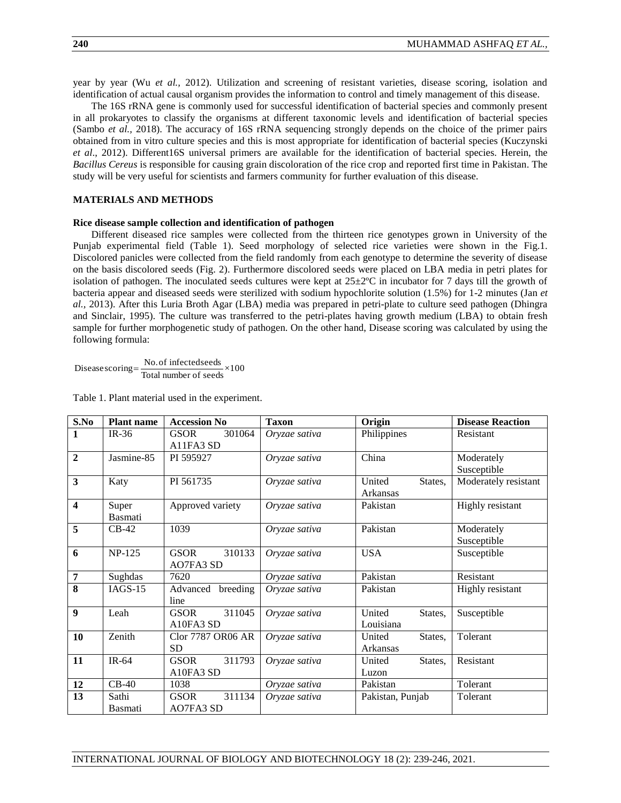year by year (Wu *et al.,* 2012). Utilization and screening of resistant varieties, disease scoring, isolation and identification of actual causal organism provides the information to control and timely management of this disease.

The 16S rRNA gene is commonly used for successful identification of bacterial species and commonly present in all prokaryotes to classify the organisms at different taxonomic levels and identification of bacterial species (Sambo *et al.,* 2018). The accuracy of 16S rRNA sequencing strongly depends on the choice of the primer pairs obtained from in vitro culture species and this is most appropriate for identification of bacterial species (Kuczynski *et al*., 2012). Different16S universal primers are available for the identification of bacterial species. Herein, the *Bacillus Cereus* is responsible for causing grain discoloration of the rice crop and reported first time in Pakistan. The study will be very useful for scientists and farmers community for further evaluation of this disease.

## **MATERIALS AND METHODS**

# **Rice disease sample collection and identification of pathogen**

Different diseased rice samples were collected from the thirteen rice genotypes grown in University of the Punjab experimental field (Table 1). Seed morphology of selected rice varieties were shown in the Fig.1. Discolored panicles were collected from the field randomly from each genotype to determine the severity of disease on the basis discolored seeds (Fig. 2). Furthermore discolored seeds were placed on LBA media in petri plates for isolation of pathogen. The inoculated seeds cultures were kept at  $25\pm2$ °C in incubator for 7 days till the growth of bacteria appear and diseased seeds were sterilized with sodium hypochlorite solution (1.5%) for 1-2 minutes (Jan *et al.,* 2013). After this Luria Broth Agar (LBA) media was prepared in petri-plate to culture seed pathogen (Dhingra and Sinclair, 1995). The culture was transferred to the petri-plates having growth medium (LBA) to obtain fresh sample for further morphogenetic study of pathogen. On the other hand, Disease scoring was calculated by using the following formula:

Diseasescoring= $\frac{No.of infected seeds}{Total number of seeds} \times 100$ 

Table 1. Plant material used in the experiment.

| S.No                    | <b>Plant name</b> | <b>Accession No</b>   | <b>Taxon</b>  | Origin            | <b>Disease Reaction</b> |
|-------------------------|-------------------|-----------------------|---------------|-------------------|-------------------------|
| 1                       | $IR-36$           | 301064<br><b>GSOR</b> | Oryzae sativa | Philippines       | Resistant               |
|                         |                   | A11FA3 SD             |               |                   |                         |
| $\overline{2}$          | Jasmine-85        | PI 595927             | Oryzae sativa | China             | Moderately              |
|                         |                   |                       |               |                   | Susceptible             |
| 3                       | Katy              | PI 561735             | Oryzae sativa | United<br>States, | Moderately resistant    |
|                         |                   |                       |               | Arkansas          |                         |
| $\overline{\mathbf{4}}$ | Super             | Approved variety      | Oryzae sativa | Pakistan          | Highly resistant        |
|                         | Basmati           |                       |               |                   |                         |
| 5                       | $CB-42$           | 1039                  | Oryzae sativa | Pakistan          | Moderately              |
|                         |                   |                       |               |                   | Susceptible             |
| 6                       | <b>NP-125</b>     | 310133<br><b>GSOR</b> | Oryzae sativa | <b>USA</b>        | Susceptible             |
|                         |                   | AO7FA3 SD             |               |                   |                         |
| $\overline{7}$          | Sughdas           | 7620                  | Oryzae sativa | Pakistan          | Resistant               |
| 8                       | $IAGS-15$         | breeding<br>Advanced  | Oryzae sativa | Pakistan          | Highly resistant        |
|                         |                   | line                  |               |                   |                         |
| 9                       | Leah              | <b>GSOR</b><br>311045 | Oryzae sativa | United<br>States, | Susceptible             |
|                         |                   | A10FA3 SD             |               | Louisiana         |                         |
| 10                      | Zenith            | Clor 7787 OR06 AR     | Oryzae sativa | United<br>States, | Tolerant                |
|                         |                   | <b>SD</b>             |               | Arkansas          |                         |
| 11                      | IR-64             | 311793<br><b>GSOR</b> | Oryzae sativa | United<br>States, | Resistant               |
|                         |                   | A10FA3 SD             |               | Luzon             |                         |
| 12                      | $CB-40$           | 1038                  | Oryzae sativa | Pakistan          | Tolerant                |
| 13                      | Sathi             | 311134<br><b>GSOR</b> | Oryzae sativa | Pakistan, Punjab  | Tolerant                |
|                         | Basmati           | <b>AO7FA3 SD</b>      |               |                   |                         |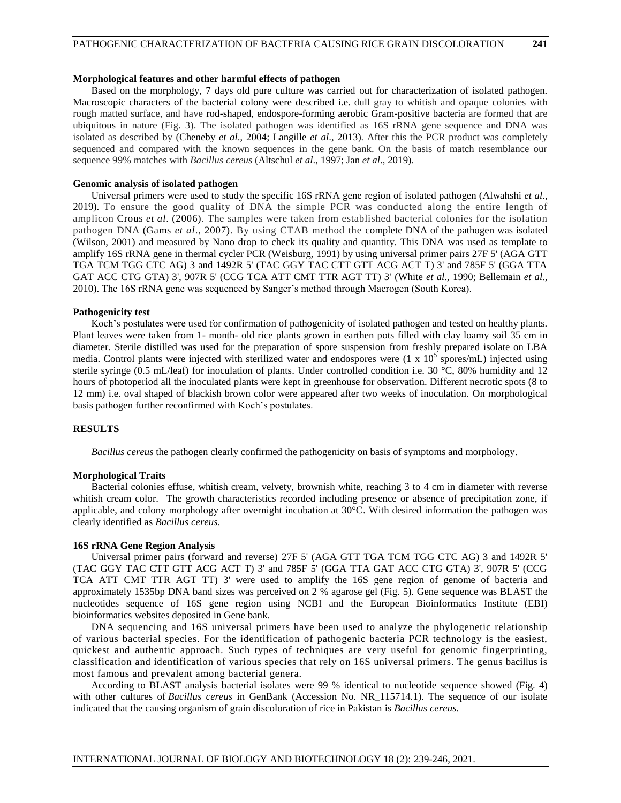# **Morphological features and other harmful effects of pathogen**

Based on the morphology, 7 days old pure culture was carried out for characterization of isolated pathogen. Macroscopic characters of the bacterial colony were described i.e. dull gray to whitish and opaque colonies with rough matted surface, and have rod-shaped, endospore-forming aerobic Gram-positive bacteria are formed that are ubiquitous in nature (Fig. 3). The isolated pathogen was identified as 16S rRNA gene sequence and DNA was isolated as described by (Cheneby *et al*., 2004; Langille *et al*., 2013). After this the PCR product was completely sequenced and compared with the known sequences in the gene bank. On the basis of match resemblance our sequence 99% matches with *Bacillus cereus* (Altschul *et al*., 1997; Jan *et al*., 2019).

# **Genomic analysis of isolated pathogen**

Universal primers were used to study the specific 16S rRNA gene region of isolated pathogen (Alwahshi *et al*., 2019). To ensure the good quality of DNA the simple PCR was conducted along the entire length of amplicon Crous *et al*. (2006). The samples were taken from established bacterial colonies for the isolation pathogen DNA (Gams *et al*., 2007). By using CTAB method the complete DNA of the pathogen was isolated (Wilson, 2001) and measured by Nano drop to check its quality and quantity. This DNA was used as template to amplify 16S rRNA gene in thermal cycler PCR (Weisburg, 1991) by using universal primer pairs 27F 5' (AGA GTT TGA TCM TGG CTC AG) 3 and 1492R 5' (TAC GGY TAC CTT GTT ACG ACT T) 3' and 785F 5' (GGA TTA GAT ACC CTG GTA) 3', 907R 5' (CCG TCA ATT CMT TTR AGT TT) 3' (White *et al.,* 1990; Bellemain *et al.,*  2010). The 16S rRNA gene was sequenced by Sanger's method through Macrogen (South Korea).

# **Pathogenicity test**

Koch's postulates were used for confirmation of pathogenicity of isolated pathogen and tested on healthy plants. Plant leaves were taken from 1- month- old rice plants grown in earthen pots filled with clay loamy soil 35 cm in diameter. Sterile distilled was used for the preparation of spore suspension from freshly prepared isolate on LBA media. Control plants were injected with sterilized water and endospores were  $(1 \times 10^5 \text{ spores/mL})$  injected using sterile syringe (0.5 mL/leaf) for inoculation of plants. Under controlled condition i.e. 30 °C, 80% humidity and 12 hours of photoperiod all the inoculated plants were kept in greenhouse for observation. Different necrotic spots (8 to 12 mm) i.e. oval shaped of blackish brown color were appeared after two weeks of inoculation. On morphological basis pathogen further reconfirmed with Koch's postulates.

# **RESULTS**

*Bacillus cereus* the pathogen clearly confirmed the pathogenicity on basis of symptoms and morphology.

## **Morphological Traits**

Bacterial colonies effuse, whitish cream, velvety, brownish white, reaching 3 to 4 cm in diameter with reverse whitish cream color. The growth characteristics recorded including presence or absence of precipitation zone, if applicable, and colony morphology after overnight incubation at 30°C. With desired information the pathogen was clearly identified as *Bacillus cereus*.

#### **16S rRNA Gene Region Analysis**

Universal primer pairs (forward and reverse) 27F 5' (AGA GTT TGA TCM TGG CTC AG) 3 and 1492R 5' (TAC GGY TAC CTT GTT ACG ACT T) 3' and 785F 5' (GGA TTA GAT ACC CTG GTA) 3', 907R 5' (CCG TCA ATT CMT TTR AGT TT) 3' were used to amplify the 16S gene region of genome of bacteria and approximately 1535bp DNA band sizes was perceived on 2 % agarose gel (Fig. 5). Gene sequence was BLAST the nucleotides sequence of 16S gene region using NCBI and the European Bioinformatics Institute (EBI) bioinformatics websites deposited in Gene bank.

DNA sequencing and 16S universal primers have been used to analyze the phylogenetic relationship of various bacterial species. For the identification of pathogenic bacteria PCR technology is the easiest, quickest and authentic approach. Such types of techniques are very useful for genomic fingerprinting, classification and identification of various species that rely on 16S universal primers. The genus bacillus is most famous and prevalent among bacterial genera.

According to BLAST analysis bacterial isolates were 99 % identical to nucleotide sequence showed (Fig. 4) with other cultures of *Bacillus cereus* in GenBank (Accession No. NR\_115714.1). The sequence of our isolate indicated that the causing organism of grain discoloration of rice in Pakistan is *Bacillus cereus.*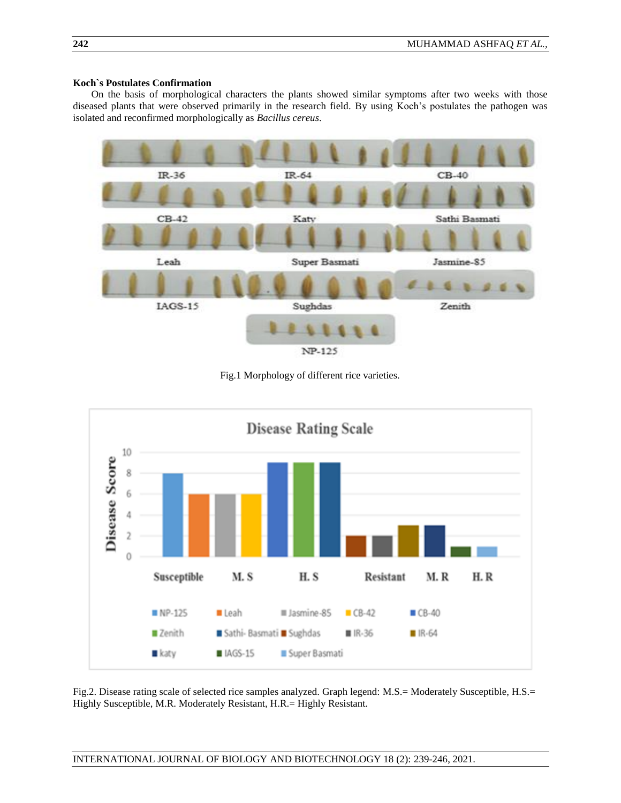# **Koch`s Postulates Confirmation**

On the basis of morphological characters the plants showed similar symptoms after two weeks with those diseased plants that were observed primarily in the research field. By using Koch's postulates the pathogen was isolated and reconfirmed morphologically as *Bacillus cereus*.



Fig.1 Morphology of different rice varieties.



Fig.2. Disease rating scale of selected rice samples analyzed. Graph legend: M.S.= Moderately Susceptible, H.S.= Highly Susceptible, M.R. Moderately Resistant, H.R.= Highly Resistant.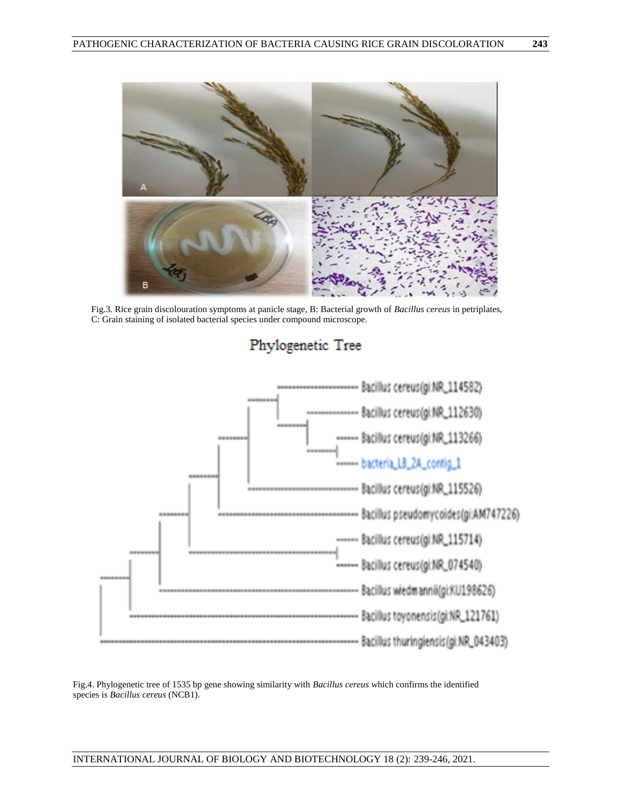

Fig.3. Rice grain discolouration symptoms at panicle stage, B: Bacterial growth of *Bacillus cereus* in petriplates, C: Grain staining of isolated bacterial species under compound microscope.



# Phylogenetic Tree

Fig.4. Phylogenetic tree of 1535 bp gene showing similarity with *Bacillus cereus* which confirms the identified species is *Bacillus cereus* (NCB1).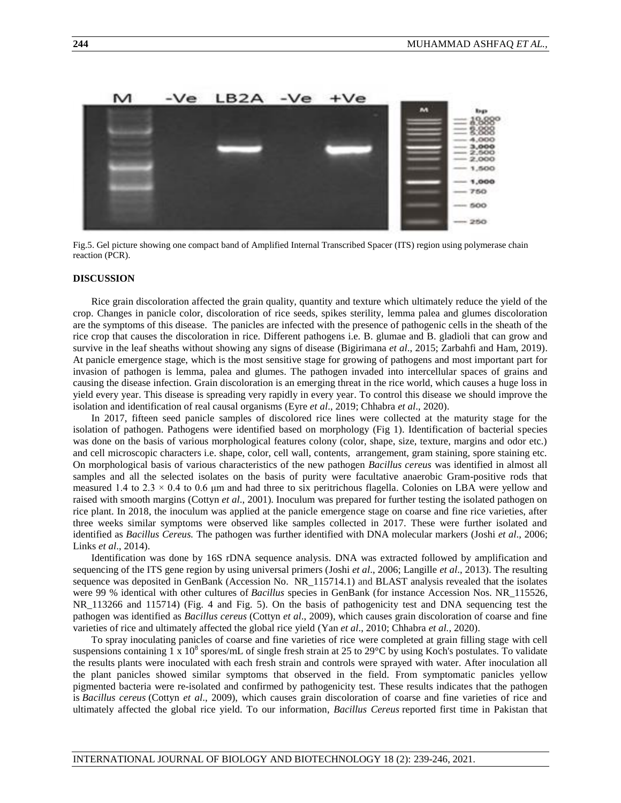

Fig.5. Gel picture showing one compact band of Amplified Internal Transcribed Spacer (ITS) region using polymerase chain reaction (PCR).

#### **DISCUSSION**

Rice grain discoloration affected the grain quality, quantity and texture which ultimately reduce the yield of the crop. Changes in panicle color, discoloration of rice seeds, spikes sterility, lemma palea and glumes discoloration are the symptoms of this disease. The panicles are infected with the presence of pathogenic cells in the sheath of the rice crop that causes the discoloration in rice. Different pathogens i.e. B. glumae and B. gladioli that can grow and survive in the leaf sheaths without showing any signs of disease (Bigirimana *et al*., 2015; Zarbahfi and Ham, 2019). At panicle emergence stage, which is the most sensitive stage for growing of pathogens and most important part for invasion of pathogen is lemma, palea and glumes. The pathogen invaded into intercellular spaces of grains and causing the disease infection. Grain discoloration is an emerging threat in the rice world, which causes a huge loss in yield every year. This disease is spreading very rapidly in every year. To control this disease we should improve the isolation and identification of real causal organisms (Eyre *et al*., 2019; Chhabra *et al*., 2020).

In 2017, fifteen seed panicle samples of discolored rice lines were collected at the maturity stage for the isolation of pathogen. Pathogens were identified based on morphology (Fig 1). Identification of bacterial species was done on the basis of various morphological features colony (color, shape, size, texture, margins and odor etc.) and cell microscopic characters i.e. shape, color, cell wall, contents, arrangement, gram staining, spore staining etc. On morphological basis of various characteristics of the new pathogen *Bacillus cereus* was identified in almost all samples and all the selected isolates on the basis of purity were facultative anaerobic Gram-positive rods that measured 1.4 to 2.3  $\times$  0.4 to 0.6 µm and had three to six peritrichous flagella. Colonies on LBA were yellow and raised with smooth margins (Cottyn *et al*., 2001). Inoculum was prepared for further testing the isolated pathogen on rice plant. In 2018, the inoculum was applied at the panicle emergence stage on coarse and fine rice varieties, after three weeks similar symptoms were observed like samples collected in 2017. These were further isolated and identified as *Bacillus Cereus.* The pathogen was further identified with DNA molecular markers (Joshi *et al*., 2006; Links *et al*., 2014).

Identification was done by 16S rDNA sequence analysis. DNA was extracted followed by amplification and sequencing of the ITS gene region by using universal primers (Joshi *et al*., 2006; Langille *et al*., 2013). The resulting sequence was deposited in GenBank (Accession No. NR\_115714.1) and BLAST analysis revealed that the isolates were 99 % identical with other cultures of *Bacillus* species in GenBank (for instance Accession Nos. NR\_115526, NR\_113266 and 115714) (Fig. 4 and Fig. 5). On the basis of pathogenicity test and DNA sequencing test the pathogen was identified as *Bacillus cereus* (Cottyn *et al*., 2009), which causes grain discoloration of coarse and fine varieties of rice and ultimately affected the global rice yield (Yan *et al*., 2010; Chhabra *et al.,* 2020).

To spray inoculating panicles of coarse and fine varieties of rice were completed at grain filling stage with cell suspensions containing  $1 \times 10^8$  spores/mL of single fresh strain at 25 to 29 $\degree$ C by using Koch's postulates. To validate the results plants were inoculated with each fresh strain and controls were sprayed with water. After inoculation all the plant panicles showed similar symptoms that observed in the field. From symptomatic panicles yellow pigmented bacteria were re-isolated and confirmed by pathogenicity test. These results indicates that the pathogen is *Bacillus cereus* (Cottyn *et al*., 2009), which causes grain discoloration of coarse and fine varieties of rice and ultimately affected the global rice yield. To our information, *Bacillus Cereus* reported first time in Pakistan that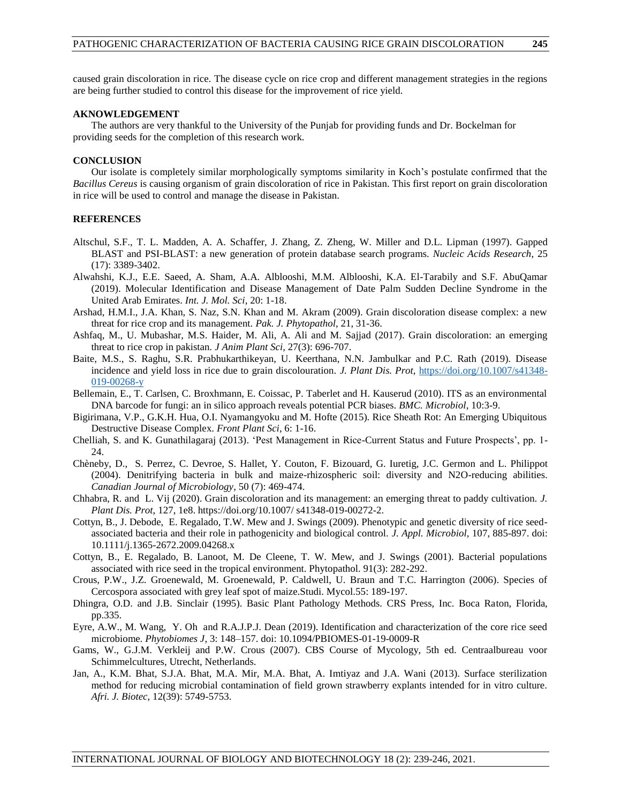caused grain discoloration in rice. The disease cycle on rice crop and different management strategies in the regions are being further studied to control this disease for the improvement of rice yield.

#### **AKNOWLEDGEMENT**

The authors are very thankful to the University of the Punjab for providing funds and Dr. Bockelman for providing seeds for the completion of this research work.

## **CONCLUSION**

Our isolate is completely similar morphologically symptoms similarity in Koch's postulate confirmed that the *Bacillus Cereus* is causing organism of grain discoloration of rice in Pakistan. This first report on grain discoloration in rice will be used to control and manage the disease in Pakistan.

## **REFERENCES**

- Altschul, S.F., T. L. Madden, A. A. Schaffer, J. Zhang, Z. Zheng, W. Miller and D.L. Lipman (1997). Gapped BLAST and PSI-BLAST: a new generation of protein database search programs. *Nucleic Acids Research*, 25 (17): 3389-3402.
- Alwahshi, K.J., E.E. Saeed, A. Sham, A.A. Alblooshi, M.M. Alblooshi, K.A. El-Tarabily and S.F. AbuQamar (2019). Molecular Identification and Disease Management of Date Palm Sudden Decline Syndrome in the United Arab Emirates. *Int. J. Mol. Sci*, 20: 1-18.
- Arshad, H.M.I., J.A. Khan, S. Naz, S.N. Khan and M. Akram (2009). Grain discoloration disease complex: a new threat for rice crop and its management. *Pak. J. Phytopathol*, 21, 31-36.
- Ashfaq, M., U. Mubashar, M.S. Haider, M. Ali, A. Ali and M. Sajjad (2017). Grain discoloration: an emerging threat to rice crop in pakistan. *J Anim Plant Sci,* 27(3): 696-707.
- Baite, M.S., S. Raghu, S.R. Prabhukarthikeyan, U. Keerthana, N.N. Jambulkar and P.C. Rath (2019). Disease incidence and yield loss in rice due to grain discolouration. *J. Plant Dis. Prot*, [https://doi.org/10.1007/s41348-](https://doi.org/10.1007/s41348-019-00268-y) [019-00268-y](https://doi.org/10.1007/s41348-019-00268-y)
- Bellemain, E., T. Carlsen, C. Broxhmann, E. Coissac, P. Taberlet and H. Kauserud (2010). ITS as an environmental DNA barcode for fungi: an in silico approach reveals potential PCR biases. *BMC. Microbiol*, 10:3-9.
- Bigirimana, V.P., G.K.H. Hua, O.I. Nyamangyoku and M. Hofte (2015). Rice Sheath Rot: An Emerging Ubiquitous Destructive Disease Complex. *Front Plant Sci*, 6: 1-16.
- Chelliah, S. and K. Gunathilagaraj (2013). 'Pest Management in Rice-Current Status and Future Prospects', pp. 1- 24.
- Chèneby, D., S. Perrez, C. Devroe, S. Hallet, Y. Couton, F. Bizouard, G. Iuretig, J.C. Germon and L. Philippot (2004). Denitrifying bacteria in bulk and maize-rhizospheric soil: diversity and N2O-reducing abilities. *Canadian Journal of Microbiology*, 50 (7): 469-474.
- Chhabra, R. and L. Vij (2020). Grain discoloration and its management: an emerging threat to paddy cultivation. *J. Plant Dis. Prot*, 127, 1e8. https://doi.org/10.1007/ s41348-019-00272-2.
- Cottyn, B., J. Debode, E. Regalado, T.W. Mew and J. Swings (2009). Phenotypic and genetic diversity of rice seedassociated bacteria and their role in pathogenicity and biological control. *J. Appl. Microbiol*, 107, 885-897. doi: 10.1111/j.1365-2672.2009.04268.x
- Cottyn, B., E. Regalado, B. Lanoot, M. De Cleene, T. W. Mew, and J. Swings (2001). Bacterial populations associated with rice seed in the tropical environment. Phytopathol. 91(3): 282-292.
- Crous, P.W., J.Z. Groenewald, M. Groenewald, P. Caldwell, U. Braun and T.C. Harrington (2006). Species of Cercospora associated with grey leaf spot of maize.Studi. Mycol.55: 189-197.
- Dhingra, O.D. and J.B. Sinclair (1995). Basic Plant Pathology Methods. CRS Press, Inc. Boca Raton, Florida, pp.335.
- Eyre, A.W., M. Wang, Y. Oh and R.A.J.P.J. Dean (2019). Identification and characterization of the core rice seed microbiome. *Phytobiomes J*, 3: 148–157. doi: 10.1094/PBIOMES-01-19-0009-R
- Gams, W., G.J.M. Verkleij and P.W. Crous (2007). CBS Course of Mycology, 5th ed. Centraalbureau voor Schimmelcultures, Utrecht, Netherlands.
- Jan, A., K.M. Bhat, S.J.A. Bhat, M.A. Mir, M.A. Bhat, A. Imtiyaz and J.A. Wani (2013). Surface sterilization method for reducing microbial contamination of field grown strawberry explants intended for in vitro culture. *Afri. J. Biotec*, 12(39): 5749-5753.